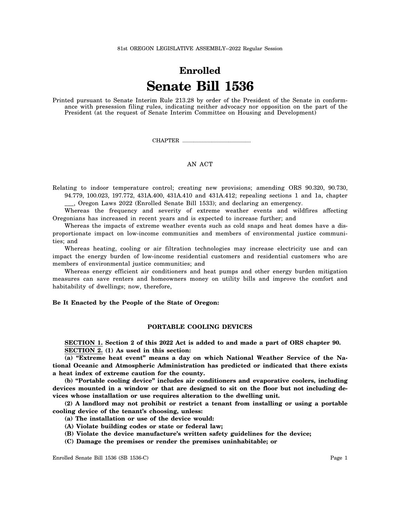# **Enrolled Senate Bill 1536**

Printed pursuant to Senate Interim Rule 213.28 by order of the President of the Senate in conformance with presession filing rules, indicating neither advocacy nor opposition on the part of the President (at the request of Senate Interim Committee on Housing and Development)

CHAPTER .................................................

# AN ACT

Relating to indoor temperature control; creating new provisions; amending ORS 90.320, 90.730, 94.779, 100.023, 197.772, 431A.400, 431A.410 and 431A.412; repealing sections 1 and 1a, chapter

\_\_\_, Oregon Laws 2022 (Enrolled Senate Bill 1533); and declaring an emergency.

Whereas the frequency and severity of extreme weather events and wildfires affecting Oregonians has increased in recent years and is expected to increase further; and

Whereas the impacts of extreme weather events such as cold snaps and heat domes have a disproportionate impact on low-income communities and members of environmental justice communities; and

Whereas heating, cooling or air filtration technologies may increase electricity use and can impact the energy burden of low-income residential customers and residential customers who are members of environmental justice communities; and

Whereas energy efficient air conditioners and heat pumps and other energy burden mitigation measures can save renters and homeowners money on utility bills and improve the comfort and habitability of dwellings; now, therefore,

## **Be It Enacted by the People of the State of Oregon:**

#### **PORTABLE COOLING DEVICES**

**SECTION 1. Section 2 of this 2022 Act is added to and made a part of ORS chapter 90. SECTION 2. (1) As used in this section:**

**(a) "Extreme heat event" means a day on which National Weather Service of the National Oceanic and Atmospheric Administration has predicted or indicated that there exists a heat index of extreme caution for the county.**

**(b) "Portable cooling device" includes air conditioners and evaporative coolers, including devices mounted in a window or that are designed to sit on the floor but not including devices whose installation or use requires alteration to the dwelling unit.**

**(2) A landlord may not prohibit or restrict a tenant from installing or using a portable cooling device of the tenant's choosing, unless:**

- **(a) The installation or use of the device would:**
- **(A) Violate building codes or state or federal law;**
- **(B) Violate the device manufacture's written safety guidelines for the device;**
- **(C) Damage the premises or render the premises uninhabitable; or**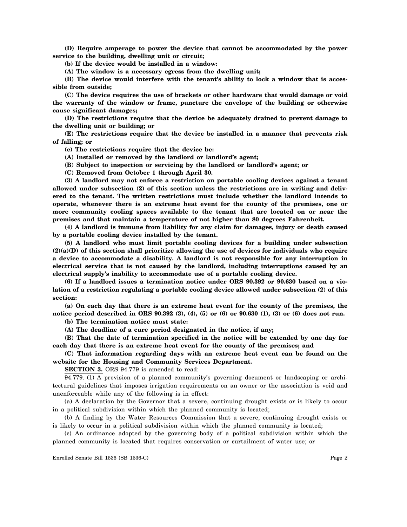**(D) Require amperage to power the device that cannot be accommodated by the power service to the building, dwelling unit or circuit;**

**(b) If the device would be installed in a window:**

**(A) The window is a necessary egress from the dwelling unit;**

**(B) The device would interfere with the tenant's ability to lock a window that is accessible from outside;**

**(C) The device requires the use of brackets or other hardware that would damage or void the warranty of the window or frame, puncture the envelope of the building or otherwise cause significant damages;**

**(D) The restrictions require that the device be adequately drained to prevent damage to the dwelling unit or building; or**

**(E) The restrictions require that the device be installed in a manner that prevents risk of falling; or**

**(c) The restrictions require that the device be:**

**(A) Installed or removed by the landlord or landlord's agent;**

- **(B) Subject to inspection or servicing by the landlord or landlord's agent; or**
- **(C) Removed from October 1 through April 30.**

**(3) A landlord may not enforce a restriction on portable cooling devices against a tenant allowed under subsection (2) of this section unless the restrictions are in writing and delivered to the tenant. The written restrictions must include whether the landlord intends to operate, whenever there is an extreme heat event for the county of the premises, one or more community cooling spaces available to the tenant that are located on or near the premises and that maintain a temperature of not higher than 80 degrees Fahrenheit.**

**(4) A landlord is immune from liability for any claim for damages, injury or death caused by a portable cooling device installed by the tenant.**

**(5) A landlord who must limit portable cooling devices for a building under subsection (2)(a)(D) of this section shall prioritize allowing the use of devices for individuals who require a device to accommodate a disability. A landlord is not responsible for any interruption in electrical service that is not caused by the landlord, including interruptions caused by an electrical supply's inability to accommodate use of a portable cooling device.**

**(6) If a landlord issues a termination notice under ORS 90.392 or 90.630 based on a violation of a restriction regulating a portable cooling device allowed under subsection (2) of this section:**

**(a) On each day that there is an extreme heat event for the county of the premises, the notice period described in ORS 90.392 (3), (4), (5) or (6) or 90.630 (1), (3) or (6) does not run.**

**(b) The termination notice must state:**

**(A) The deadline of a cure period designated in the notice, if any;**

**(B) That the date of termination specified in the notice will be extended by one day for each day that there is an extreme heat event for the county of the premises; and**

**(C) That information regarding days with an extreme heat event can be found on the website for the Housing and Community Services Department.**

**SECTION 3.** ORS 94.779 is amended to read:

94.779. (1) A provision of a planned community's governing document or landscaping or architectural guidelines that imposes irrigation requirements on an owner or the association is void and unenforceable while any of the following is in effect:

(a) A declaration by the Governor that a severe, continuing drought exists or is likely to occur in a political subdivision within which the planned community is located;

(b) A finding by the Water Resources Commission that a severe, continuing drought exists or is likely to occur in a political subdivision within which the planned community is located;

(c) An ordinance adopted by the governing body of a political subdivision within which the planned community is located that requires conservation or curtailment of water use; or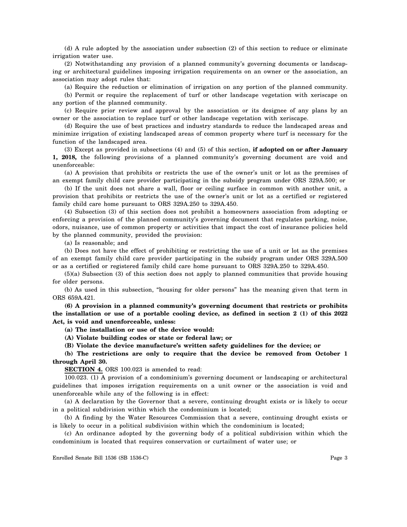(d) A rule adopted by the association under subsection (2) of this section to reduce or eliminate irrigation water use.

(2) Notwithstanding any provision of a planned community's governing documents or landscaping or architectural guidelines imposing irrigation requirements on an owner or the association, an association may adopt rules that:

(a) Require the reduction or elimination of irrigation on any portion of the planned community.

(b) Permit or require the replacement of turf or other landscape vegetation with xeriscape on any portion of the planned community.

(c) Require prior review and approval by the association or its designee of any plans by an owner or the association to replace turf or other landscape vegetation with xeriscape.

(d) Require the use of best practices and industry standards to reduce the landscaped areas and minimize irrigation of existing landscaped areas of common property where turf is necessary for the function of the landscaped area.

(3) Except as provided in subsections (4) and (5) of this section, **if adopted on or after January 1, 2018,** the following provisions of a planned community's governing document are void and unenforceable:

(a) A provision that prohibits or restricts the use of the owner's unit or lot as the premises of an exempt family child care provider participating in the subsidy program under ORS 329A.500; or

(b) If the unit does not share a wall, floor or ceiling surface in common with another unit, a provision that prohibits or restricts the use of the owner's unit or lot as a certified or registered family child care home pursuant to ORS 329A.250 to 329A.450.

(4) Subsection (3) of this section does not prohibit a homeowners association from adopting or enforcing a provision of the planned community's governing document that regulates parking, noise, odors, nuisance, use of common property or activities that impact the cost of insurance policies held by the planned community, provided the provision:

(a) Is reasonable; and

(b) Does not have the effect of prohibiting or restricting the use of a unit or lot as the premises of an exempt family child care provider participating in the subsidy program under ORS 329A.500 or as a certified or registered family child care home pursuant to ORS 329A.250 to 329A.450.

(5)(a) Subsection (3) of this section does not apply to planned communities that provide housing for older persons.

(b) As used in this subsection, "housing for older persons" has the meaning given that term in ORS 659A.421.

**(6) A provision in a planned community's governing document that restricts or prohibits the installation or use of a portable cooling device, as defined in section 2 (1) of this 2022 Act, is void and unenforceable, unless:**

**(a) The installation or use of the device would:**

**(A) Violate building codes or state or federal law; or**

**(B) Violate the device manufacture's written safety guidelines for the device; or**

**(b) The restrictions are only to require that the device be removed from October 1 through April 30.**

**SECTION 4.** ORS 100.023 is amended to read:

100.023. (1) A provision of a condominium's governing document or landscaping or architectural guidelines that imposes irrigation requirements on a unit owner or the association is void and unenforceable while any of the following is in effect:

(a) A declaration by the Governor that a severe, continuing drought exists or is likely to occur in a political subdivision within which the condominium is located;

(b) A finding by the Water Resources Commission that a severe, continuing drought exists or is likely to occur in a political subdivision within which the condominium is located;

(c) An ordinance adopted by the governing body of a political subdivision within which the condominium is located that requires conservation or curtailment of water use; or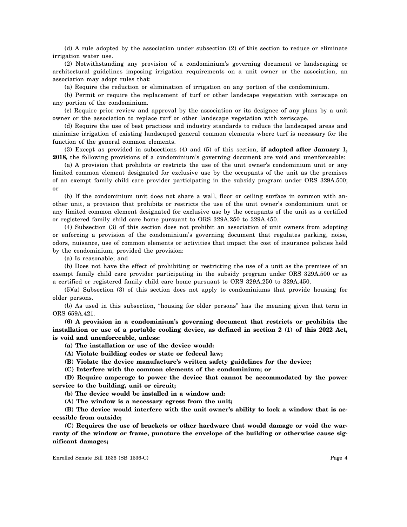(d) A rule adopted by the association under subsection (2) of this section to reduce or eliminate irrigation water use.

(2) Notwithstanding any provision of a condominium's governing document or landscaping or architectural guidelines imposing irrigation requirements on a unit owner or the association, an association may adopt rules that:

(a) Require the reduction or elimination of irrigation on any portion of the condominium.

(b) Permit or require the replacement of turf or other landscape vegetation with xeriscape on any portion of the condominium.

(c) Require prior review and approval by the association or its designee of any plans by a unit owner or the association to replace turf or other landscape vegetation with xeriscape.

(d) Require the use of best practices and industry standards to reduce the landscaped areas and minimize irrigation of existing landscaped general common elements where turf is necessary for the function of the general common elements.

(3) Except as provided in subsections (4) and (5) of this section, **if adopted after January 1, 2018,** the following provisions of a condominium's governing document are void and unenforceable:

(a) A provision that prohibits or restricts the use of the unit owner's condominium unit or any limited common element designated for exclusive use by the occupants of the unit as the premises of an exempt family child care provider participating in the subsidy program under ORS 329A.500; or

(b) If the condominium unit does not share a wall, floor or ceiling surface in common with another unit, a provision that prohibits or restricts the use of the unit owner's condominium unit or any limited common element designated for exclusive use by the occupants of the unit as a certified or registered family child care home pursuant to ORS 329A.250 to 329A.450.

(4) Subsection (3) of this section does not prohibit an association of unit owners from adopting or enforcing a provision of the condominium's governing document that regulates parking, noise, odors, nuisance, use of common elements or activities that impact the cost of insurance policies held by the condominium, provided the provision:

(a) Is reasonable; and

(b) Does not have the effect of prohibiting or restricting the use of a unit as the premises of an exempt family child care provider participating in the subsidy program under ORS 329A.500 or as a certified or registered family child care home pursuant to ORS 329A.250 to 329A.450.

(5)(a) Subsection (3) of this section does not apply to condominiums that provide housing for older persons.

(b) As used in this subsection, "housing for older persons" has the meaning given that term in ORS 659A.421.

**(6) A provision in a condominium's governing document that restricts or prohibits the installation or use of a portable cooling device, as defined in section 2 (1) of this 2022 Act, is void and unenforceable, unless:**

**(a) The installation or use of the device would:**

**(A) Violate building codes or state or federal law;**

**(B) Violate the device manufacture's written safety guidelines for the device;**

**(C) Interfere with the common elements of the condominium; or**

**(D) Require amperage to power the device that cannot be accommodated by the power service to the building, unit or circuit;**

**(b) The device would be installed in a window and:**

**(A) The window is a necessary egress from the unit;**

**(B) The device would interfere with the unit owner's ability to lock a window that is accessible from outside;**

**(C) Requires the use of brackets or other hardware that would damage or void the warranty of the window or frame, puncture the envelope of the building or otherwise cause significant damages;**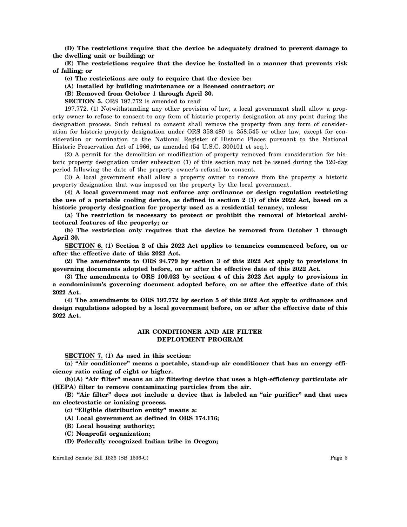**(D) The restrictions require that the device be adequately drained to prevent damage to the dwelling unit or building; or**

**(E) The restrictions require that the device be installed in a manner that prevents risk of falling; or**

**(c) The restrictions are only to require that the device be:**

**(A) Installed by building maintenance or a licensed contractor; or**

**(B) Removed from October 1 through April 30.**

**SECTION 5.** ORS 197.772 is amended to read:

197.772. (1) Notwithstanding any other provision of law, a local government shall allow a property owner to refuse to consent to any form of historic property designation at any point during the designation process. Such refusal to consent shall remove the property from any form of consideration for historic property designation under ORS 358.480 to 358.545 or other law, except for consideration or nomination to the National Register of Historic Places pursuant to the National Historic Preservation Act of 1966, as amended (54 U.S.C. 300101 et seq.).

(2) A permit for the demolition or modification of property removed from consideration for historic property designation under subsection (1) of this section may not be issued during the 120-day period following the date of the property owner's refusal to consent.

(3) A local government shall allow a property owner to remove from the property a historic property designation that was imposed on the property by the local government.

**(4) A local government may not enforce any ordinance or design regulation restricting the use of a portable cooling device, as defined in section 2 (1) of this 2022 Act, based on a historic property designation for property used as a residential tenancy, unless:**

**(a) The restriction is necessary to protect or prohibit the removal of historical architectural features of the property; or**

**(b) The restriction only requires that the device be removed from October 1 through April 30.**

**SECTION 6. (1) Section 2 of this 2022 Act applies to tenancies commenced before, on or after the effective date of this 2022 Act.**

**(2) The amendments to ORS 94.779 by section 3 of this 2022 Act apply to provisions in governing documents adopted before, on or after the effective date of this 2022 Act.**

**(3) The amendments to ORS 100.023 by section 4 of this 2022 Act apply to provisions in a condominium's governing document adopted before, on or after the effective date of this 2022 Act.**

**(4) The amendments to ORS 197.772 by section 5 of this 2022 Act apply to ordinances and design regulations adopted by a local government before, on or after the effective date of this 2022 Act.**

## **AIR CONDITIONER AND AIR FILTER DEPLOYMENT PROGRAM**

**SECTION 7. (1) As used in this section:**

**(a) "Air conditioner" means a portable, stand-up air conditioner that has an energy efficiency ratio rating of eight or higher.**

**(b)(A) "Air filter" means an air filtering device that uses a high-efficiency particulate air (HEPA) filter to remove contaminating particles from the air.**

**(B) "Air filter" does not include a device that is labeled an "air purifier" and that uses an electrostatic or ionizing process.**

**(c) "Eligible distribution entity" means a:**

- **(A) Local government as defined in ORS 174.116;**
- **(B) Local housing authority;**
- **(C) Nonprofit organization;**
- **(D) Federally recognized Indian tribe in Oregon;**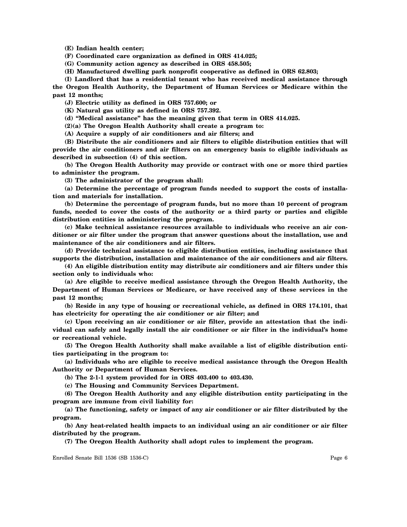**(E) Indian health center;**

**(F) Coordinated care organization as defined in ORS 414.025;**

**(G) Community action agency as described in ORS 458.505;**

**(H) Manufactured dwelling park nonprofit cooperative as defined in ORS 62.803;**

**(I) Landlord that has a residential tenant who has received medical assistance through the Oregon Health Authority, the Department of Human Services or Medicare within the past 12 months;**

**(J) Electric utility as defined in ORS 757.600; or**

**(K) Natural gas utility as defined in ORS 757.392.**

**(d) "Medical assistance" has the meaning given that term in ORS 414.025.**

**(2)(a) The Oregon Health Authority shall create a program to:**

**(A) Acquire a supply of air conditioners and air filters; and**

**(B) Distribute the air conditioners and air filters to eligible distribution entities that will provide the air conditioners and air filters on an emergency basis to eligible individuals as described in subsection (4) of this section.**

**(b) The Oregon Health Authority may provide or contract with one or more third parties to administer the program.**

**(3) The administrator of the program shall:**

**(a) Determine the percentage of program funds needed to support the costs of installation and materials for installation.**

**(b) Determine the percentage of program funds, but no more than 10 percent of program funds, needed to cover the costs of the authority or a third party or parties and eligible distribution entities in administering the program.**

**(c) Make technical assistance resources available to individuals who receive an air conditioner or air filter under the program that answer questions about the installation, use and maintenance of the air conditioners and air filters.**

**(d) Provide technical assistance to eligible distribution entities, including assistance that supports the distribution, installation and maintenance of the air conditioners and air filters.**

**(4) An eligible distribution entity may distribute air conditioners and air filters under this section only to individuals who:**

**(a) Are eligible to receive medical assistance through the Oregon Health Authority, the Department of Human Services or Medicare, or have received any of these services in the past 12 months;**

**(b) Reside in any type of housing or recreational vehicle, as defined in ORS 174.101, that has electricity for operating the air conditioner or air filter; and**

**(c) Upon receiving an air conditioner or air filter, provide an attestation that the individual can safely and legally install the air conditioner or air filter in the individual's home or recreational vehicle.**

**(5) The Oregon Health Authority shall make available a list of eligible distribution entities participating in the program to:**

**(a) Individuals who are eligible to receive medical assistance through the Oregon Health Authority or Department of Human Services.**

**(b) The 2-1-1 system provided for in ORS 403.400 to 403.430.**

**(c) The Housing and Community Services Department.**

**(6) The Oregon Health Authority and any eligible distribution entity participating in the program are immune from civil liability for:**

**(a) The functioning, safety or impact of any air conditioner or air filter distributed by the program.**

**(b) Any heat-related health impacts to an individual using an air conditioner or air filter distributed by the program.**

**(7) The Oregon Health Authority shall adopt rules to implement the program.**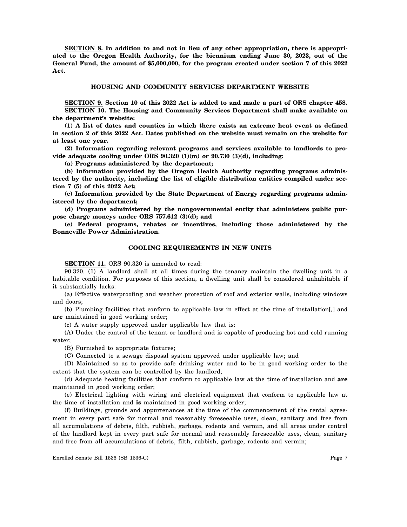**SECTION 8. In addition to and not in lieu of any other appropriation, there is appropriated to the Oregon Health Authority, for the biennium ending June 30, 2023, out of the General Fund, the amount of \$5,000,000, for the program created under section 7 of this 2022 Act.**

## **HOUSING AND COMMUNITY SERVICES DEPARTMENT WEBSITE**

**SECTION 9. Section 10 of this 2022 Act is added to and made a part of ORS chapter 458. SECTION 10. The Housing and Community Services Department shall make available on the department's website:**

**(1) A list of dates and counties in which there exists an extreme heat event as defined in section 2 of this 2022 Act. Dates published on the website must remain on the website for at least one year.**

**(2) Information regarding relevant programs and services available to landlords to provide adequate cooling under ORS 90.320 (1)(m) or 90.730 (3)(d), including:**

**(a) Programs administered by the department;**

**(b) Information provided by the Oregon Health Authority regarding programs administered by the authority, including the list of eligible distribution entities compiled under section 7 (5) of this 2022 Act;**

**(c) Information provided by the State Department of Energy regarding programs administered by the department;**

**(d) Programs administered by the nongovernmental entity that administers public purpose charge moneys under ORS 757.612 (3)(d); and**

**(e) Federal programs, rebates or incentives, including those administered by the Bonneville Power Administration.**

## **COOLING REQUIREMENTS IN NEW UNITS**

**SECTION 11.** ORS 90.320 is amended to read:

90.320. (1) A landlord shall at all times during the tenancy maintain the dwelling unit in a habitable condition. For purposes of this section, a dwelling unit shall be considered unhabitable if it substantially lacks:

(a) Effective waterproofing and weather protection of roof and exterior walls, including windows and doors;

(b) Plumbing facilities that conform to applicable law in effect at the time of installation[*,*] and **are** maintained in good working order;

(c) A water supply approved under applicable law that is:

(A) Under the control of the tenant or landlord and is capable of producing hot and cold running water;

(B) Furnished to appropriate fixtures;

(C) Connected to a sewage disposal system approved under applicable law; and

(D) Maintained so as to provide safe drinking water and to be in good working order to the extent that the system can be controlled by the landlord;

(d) Adequate heating facilities that conform to applicable law at the time of installation and **are** maintained in good working order;

(e) Electrical lighting with wiring and electrical equipment that conform to applicable law at the time of installation and **is** maintained in good working order;

(f) Buildings, grounds and appurtenances at the time of the commencement of the rental agreement in every part safe for normal and reasonably foreseeable uses, clean, sanitary and free from all accumulations of debris, filth, rubbish, garbage, rodents and vermin, and all areas under control of the landlord kept in every part safe for normal and reasonably foreseeable uses, clean, sanitary and free from all accumulations of debris, filth, rubbish, garbage, rodents and vermin;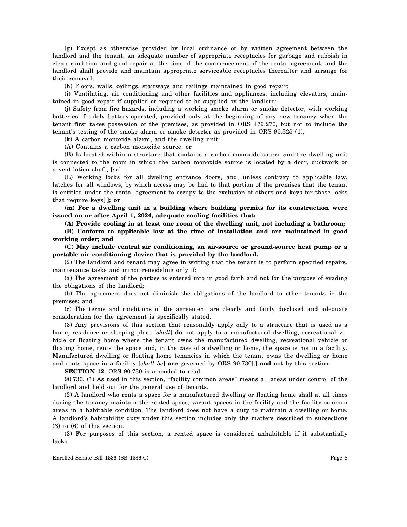(g) Except as otherwise provided by local ordinance or by written agreement between the landlord and the tenant, an adequate number of appropriate receptacles for garbage and rubbish in clean condition and good repair at the time of the commencement of the rental agreement, and the landlord shall provide and maintain appropriate serviceable receptacles thereafter and arrange for their removal;

(h) Floors, walls, ceilings, stairways and railings maintained in good repair;

(i) Ventilating, air conditioning and other facilities and appliances, including elevators, maintained in good repair if supplied or required to be supplied by the landlord;

(j) Safety from fire hazards, including a working smoke alarm or smoke detector, with working batteries if solely battery-operated, provided only at the beginning of any new tenancy when the tenant first takes possession of the premises, as provided in ORS 479.270, but not to include the tenant's testing of the smoke alarm or smoke detector as provided in ORS 90.325 (1);

(k) A carbon monoxide alarm, and the dwelling unit:

(A) Contains a carbon monoxide source; or

(B) Is located within a structure that contains a carbon monoxide source and the dwelling unit is connected to the room in which the carbon monoxide source is located by a door, ductwork or a ventilation shaft; [*or*]

(L) Working locks for all dwelling entrance doors, and, unless contrary to applicable law, latches for all windows, by which access may be had to that portion of the premises that the tenant is entitled under the rental agreement to occupy to the exclusion of others and keys for those locks that require keys[*.*]**; or**

**(m) For a dwelling unit in a building where building permits for its construction were issued on or after April 1, 2024, adequate cooling facilities that:**

**(A) Provide cooling in at least one room of the dwelling unit, not including a bathroom;**

**(B) Conform to applicable law at the time of installation and are maintained in good working order; and**

**(C) May include central air conditioning, an air-source or ground-source heat pump or a portable air conditioning device that is provided by the landlord.**

(2) The landlord and tenant may agree in writing that the tenant is to perform specified repairs, maintenance tasks and minor remodeling only if:

(a) The agreement of the parties is entered into in good faith and not for the purpose of evading the obligations of the landlord;

(b) The agreement does not diminish the obligations of the landlord to other tenants in the premises; and

(c) The terms and conditions of the agreement are clearly and fairly disclosed and adequate consideration for the agreement is specifically stated.

(3) Any provisions of this section that reasonably apply only to a structure that is used as a home, residence or sleeping place [*shall*] **do** not apply to a manufactured dwelling, recreational vehicle or floating home where the tenant owns the manufactured dwelling, recreational vehicle or floating home, rents the space and, in the case of a dwelling or home, the space is not in a facility. Manufactured dwelling or floating home tenancies in which the tenant owns the dwelling or home and rents space in a facility [*shall be*] **are** governed by ORS 90.730[*,*] **and** not by this section.

**SECTION 12.** ORS 90.730 is amended to read:

90.730. (1) As used in this section, "facility common areas" means all areas under control of the landlord and held out for the general use of tenants.

(2) A landlord who rents a space for a manufactured dwelling or floating home shall at all times during the tenancy maintain the rented space, vacant spaces in the facility and the facility common areas in a habitable condition. The landlord does not have a duty to maintain a dwelling or home. A landlord's habitability duty under this section includes only the matters described in subsections (3) to (6) of this section.

(3) For purposes of this section, a rented space is considered unhabitable if it substantially lacks: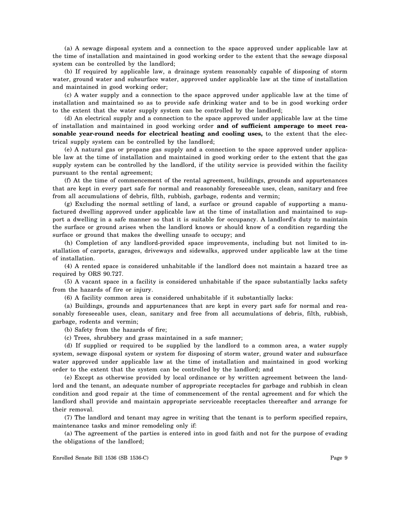(a) A sewage disposal system and a connection to the space approved under applicable law at the time of installation and maintained in good working order to the extent that the sewage disposal system can be controlled by the landlord;

(b) If required by applicable law, a drainage system reasonably capable of disposing of storm water, ground water and subsurface water, approved under applicable law at the time of installation and maintained in good working order;

(c) A water supply and a connection to the space approved under applicable law at the time of installation and maintained so as to provide safe drinking water and to be in good working order to the extent that the water supply system can be controlled by the landlord;

(d) An electrical supply and a connection to the space approved under applicable law at the time of installation and maintained in good working order **and of sufficient amperage to meet reasonable year-round needs for electrical heating and cooling uses,** to the extent that the electrical supply system can be controlled by the landlord;

(e) A natural gas or propane gas supply and a connection to the space approved under applicable law at the time of installation and maintained in good working order to the extent that the gas supply system can be controlled by the landlord, if the utility service is provided within the facility pursuant to the rental agreement;

(f) At the time of commencement of the rental agreement, buildings, grounds and appurtenances that are kept in every part safe for normal and reasonably foreseeable uses, clean, sanitary and free from all accumulations of debris, filth, rubbish, garbage, rodents and vermin;

(g) Excluding the normal settling of land, a surface or ground capable of supporting a manufactured dwelling approved under applicable law at the time of installation and maintained to support a dwelling in a safe manner so that it is suitable for occupancy. A landlord's duty to maintain the surface or ground arises when the landlord knows or should know of a condition regarding the surface or ground that makes the dwelling unsafe to occupy; and

(h) Completion of any landlord-provided space improvements, including but not limited to installation of carports, garages, driveways and sidewalks, approved under applicable law at the time of installation.

(4) A rented space is considered unhabitable if the landlord does not maintain a hazard tree as required by ORS 90.727.

(5) A vacant space in a facility is considered unhabitable if the space substantially lacks safety from the hazards of fire or injury.

(6) A facility common area is considered unhabitable if it substantially lacks:

(a) Buildings, grounds and appurtenances that are kept in every part safe for normal and reasonably foreseeable uses, clean, sanitary and free from all accumulations of debris, filth, rubbish, garbage, rodents and vermin;

(b) Safety from the hazards of fire;

(c) Trees, shrubbery and grass maintained in a safe manner;

(d) If supplied or required to be supplied by the landlord to a common area, a water supply system, sewage disposal system or system for disposing of storm water, ground water and subsurface water approved under applicable law at the time of installation and maintained in good working order to the extent that the system can be controlled by the landlord; and

(e) Except as otherwise provided by local ordinance or by written agreement between the landlord and the tenant, an adequate number of appropriate receptacles for garbage and rubbish in clean condition and good repair at the time of commencement of the rental agreement and for which the landlord shall provide and maintain appropriate serviceable receptacles thereafter and arrange for their removal.

(7) The landlord and tenant may agree in writing that the tenant is to perform specified repairs, maintenance tasks and minor remodeling only if:

(a) The agreement of the parties is entered into in good faith and not for the purpose of evading the obligations of the landlord;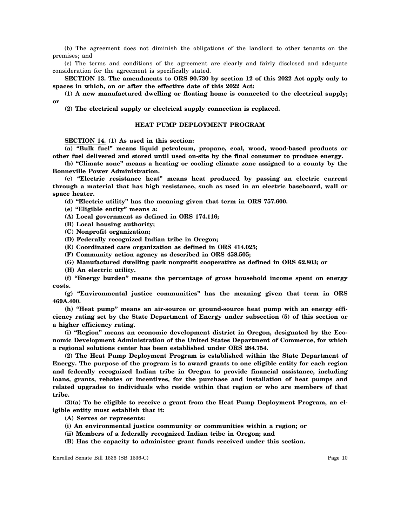(b) The agreement does not diminish the obligations of the landlord to other tenants on the premises; and

(c) The terms and conditions of the agreement are clearly and fairly disclosed and adequate consideration for the agreement is specifically stated.

**SECTION 13. The amendments to ORS 90.730 by section 12 of this 2022 Act apply only to spaces in which, on or after the effective date of this 2022 Act:**

**(1) A new manufactured dwelling or floating home is connected to the electrical supply; or**

**(2) The electrical supply or electrical supply connection is replaced.**

#### **HEAT PUMP DEPLOYMENT PROGRAM**

**SECTION 14. (1) As used in this section:**

**(a) "Bulk fuel" means liquid petroleum, propane, coal, wood, wood-based products or other fuel delivered and stored until used on-site by the final consumer to produce energy.**

**(b) "Climate zone" means a heating or cooling climate zone assigned to a county by the Bonneville Power Administration.**

**(c) "Electric resistance heat" means heat produced by passing an electric current through a material that has high resistance, such as used in an electric baseboard, wall or space heater.**

**(d) "Electric utility" has the meaning given that term in ORS 757.600.**

**(e) "Eligible entity" means a:**

**(A) Local government as defined in ORS 174.116;**

**(B) Local housing authority;**

- **(C) Nonprofit organization;**
- **(D) Federally recognized Indian tribe in Oregon;**
- **(E) Coordinated care organization as defined in ORS 414.025;**
- **(F) Community action agency as described in ORS 458.505;**

**(G) Manufactured dwelling park nonprofit cooperative as defined in ORS 62.803; or**

**(H) An electric utility.**

**(f) "Energy burden" means the percentage of gross household income spent on energy costs.**

**(g) "Environmental justice communities" has the meaning given that term in ORS 469A.400.**

**(h) "Heat pump" means an air-source or ground-source heat pump with an energy efficiency rating set by the State Department of Energy under subsection (5) of this section or a higher efficiency rating.**

**(i) "Region" means an economic development district in Oregon, designated by the Economic Development Administration of the United States Department of Commerce, for which a regional solutions center has been established under ORS 284.754.**

**(2) The Heat Pump Deployment Program is established within the State Department of Energy. The purpose of the program is to award grants to one eligible entity for each region and federally recognized Indian tribe in Oregon to provide financial assistance, including loans, grants, rebates or incentives, for the purchase and installation of heat pumps and related upgrades to individuals who reside within that region or who are members of that tribe.**

**(3)(a) To be eligible to receive a grant from the Heat Pump Deployment Program, an eligible entity must establish that it:**

**(A) Serves or represents:**

- **(i) An environmental justice community or communities within a region; or**
- **(ii) Members of a federally recognized Indian tribe in Oregon; and**
- **(B) Has the capacity to administer grant funds received under this section.**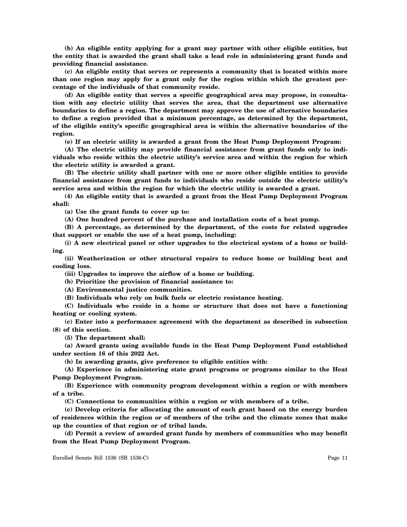**(b) An eligible entity applying for a grant may partner with other eligible entities, but the entity that is awarded the grant shall take a lead role in administering grant funds and providing financial assistance.**

**(c) An eligible entity that serves or represents a community that is located within more than one region may apply for a grant only for the region within which the greatest percentage of the individuals of that community reside.**

**(d) An eligible entity that serves a specific geographical area may propose, in consultation with any electric utility that serves the area, that the department use alternative boundaries to define a region. The department may approve the use of alternative boundaries to define a region provided that a minimum percentage, as determined by the department, of the eligible entity's specific geographical area is within the alternative boundaries of the region.**

**(e) If an electric utility is awarded a grant from the Heat Pump Deployment Program:**

**(A) The electric utility may provide financial assistance from grant funds only to individuals who reside within the electric utility's service area and within the region for which the electric utility is awarded a grant.**

**(B) The electric utility shall partner with one or more other eligible entities to provide financial assistance from grant funds to individuals who reside outside the electric utility's service area and within the region for which the electric utility is awarded a grant.**

**(4) An eligible entity that is awarded a grant from the Heat Pump Deployment Program shall:**

**(a) Use the grant funds to cover up to:**

**(A) One hundred percent of the purchase and installation costs of a heat pump.**

**(B) A percentage, as determined by the department, of the costs for related upgrades that support or enable the use of a heat pump, including:**

**(i) A new electrical panel or other upgrades to the electrical system of a home or building.**

**(ii) Weatherization or other structural repairs to reduce home or building heat and cooling loss.**

**(iii) Upgrades to improve the airflow of a home or building.**

**(b) Prioritize the provision of financial assistance to:**

**(A) Environmental justice communities.**

**(B) Individuals who rely on bulk fuels or electric resistance heating.**

**(C) Individuals who reside in a home or structure that does not have a functioning heating or cooling system.**

**(c) Enter into a performance agreement with the department as described in subsection (8) of this section.**

**(5) The department shall:**

**(a) Award grants using available funds in the Heat Pump Deployment Fund established under section 16 of this 2022 Act.**

**(b) In awarding grants, give preference to eligible entities with:**

**(A) Experience in administering state grant programs or programs similar to the Heat Pump Deployment Program.**

**(B) Experience with community program development within a region or with members of a tribe.**

**(C) Connections to communities within a region or with members of a tribe.**

**(c) Develop criteria for allocating the amount of each grant based on the energy burden of residences within the region or of members of the tribe and the climate zones that make up the counties of that region or of tribal lands.**

**(d) Permit a review of awarded grant funds by members of communities who may benefit from the Heat Pump Deployment Program.**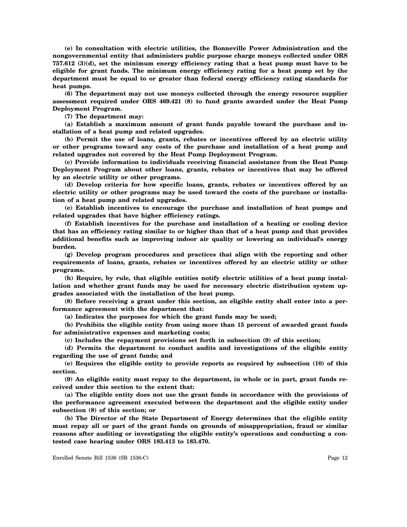**(e) In consultation with electric utilities, the Bonneville Power Administration and the nongovernmental entity that administers public purpose charge moneys collected under ORS 757.612 (3)(d), set the minimum energy efficiency rating that a heat pump must have to be eligible for grant funds. The minimum energy efficiency rating for a heat pump set by the department must be equal to or greater than federal energy efficiency rating standards for heat pumps.**

**(6) The department may not use moneys collected through the energy resource supplier assessment required under ORS 469.421 (8) to fund grants awarded under the Heat Pump Deployment Program.**

**(7) The department may:**

**(a) Establish a maximum amount of grant funds payable toward the purchase and installation of a heat pump and related upgrades.**

**(b) Permit the use of loans, grants, rebates or incentives offered by an electric utility or other programs toward any costs of the purchase and installation of a heat pump and related upgrades not covered by the Heat Pump Deployment Program.**

**(c) Provide information to individuals receiving financial assistance from the Heat Pump Deployment Program about other loans, grants, rebates or incentives that may be offered by an electric utility or other programs.**

**(d) Develop criteria for how specific loans, grants, rebates or incentives offered by an electric utility or other programs may be used toward the costs of the purchase or installation of a heat pump and related upgrades.**

**(e) Establish incentives to encourage the purchase and installation of heat pumps and related upgrades that have higher efficiency ratings.**

**(f) Establish incentives for the purchase and installation of a heating or cooling device that has an efficiency rating similar to or higher than that of a heat pump and that provides additional benefits such as improving indoor air quality or lowering an individual's energy burden.**

**(g) Develop program procedures and practices that align with the reporting and other requirements of loans, grants, rebates or incentives offered by an electric utility or other programs.**

**(h) Require, by rule, that eligible entities notify electric utilities of a heat pump installation and whether grant funds may be used for necessary electric distribution system upgrades associated with the installation of the heat pump.**

**(8) Before receiving a grant under this section, an eligible entity shall enter into a performance agreement with the department that:**

**(a) Indicates the purposes for which the grant funds may be used;**

**(b) Prohibits the eligible entity from using more than 15 percent of awarded grant funds for administrative expenses and marketing costs;**

**(c) Includes the repayment provisions set forth in subsection (9) of this section;**

**(d) Permits the department to conduct audits and investigations of the eligible entity regarding the use of grant funds; and**

**(e) Requires the eligible entity to provide reports as required by subsection (10) of this section.**

**(9) An eligible entity must repay to the department, in whole or in part, grant funds received under this section to the extent that:**

**(a) The eligible entity does not use the grant funds in accordance with the provisions of the performance agreement executed between the department and the eligible entity under subsection (8) of this section; or**

**(b) The Director of the State Department of Energy determines that the eligible entity must repay all or part of the grant funds on grounds of misappropriation, fraud or similar reasons after auditing or investigating the eligible entity's operations and conducting a contested case hearing under ORS 183.413 to 183.470.**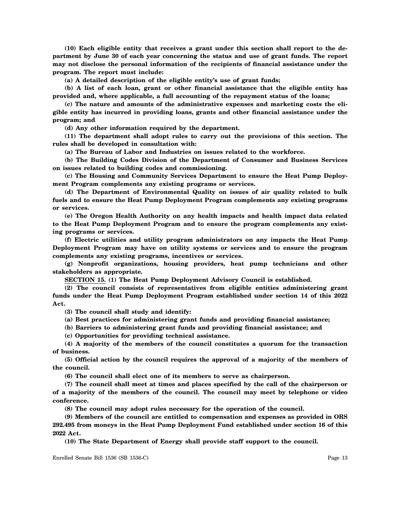**(10) Each eligible entity that receives a grant under this section shall report to the department by June 30 of each year concerning the status and use of grant funds. The report may not disclose the personal information of the recipients of financial assistance under the program. The report must include:**

**(a) A detailed description of the eligible entity's use of grant funds;**

**(b) A list of each loan, grant or other financial assistance that the eligible entity has provided and, where applicable, a full accounting of the repayment status of the loans;**

**(c) The nature and amounts of the administrative expenses and marketing costs the eligible entity has incurred in providing loans, grants and other financial assistance under the program; and**

**(d) Any other information required by the department.**

**(11) The department shall adopt rules to carry out the provisions of this section. The rules shall be developed in consultation with:**

**(a) The Bureau of Labor and Industries on issues related to the workforce.**

**(b) The Building Codes Division of the Department of Consumer and Business Services on issues related to building codes and commissioning.**

**(c) The Housing and Community Services Department to ensure the Heat Pump Deployment Program complements any existing programs or services.**

**(d) The Department of Environmental Quality on issues of air quality related to bulk fuels and to ensure the Heat Pump Deployment Program complements any existing programs or services.**

**(e) The Oregon Health Authority on any health impacts and health impact data related to the Heat Pump Deployment Program and to ensure the program complements any existing programs or services.**

**(f) Electric utilities and utility program administrators on any impacts the Heat Pump Deployment Program may have on utility systems or services and to ensure the program complements any existing programs, incentives or services.**

**(g) Nonprofit organizations, housing providers, heat pump technicians and other stakeholders as appropriate.**

**SECTION 15. (1) The Heat Pump Deployment Advisory Council is established.**

**(2) The council consists of representatives from eligible entities administering grant funds under the Heat Pump Deployment Program established under section 14 of this 2022 Act.**

**(3) The council shall study and identify:**

**(a) Best practices for administering grant funds and providing financial assistance;**

**(b) Barriers to administering grant funds and providing financial assistance; and**

**(c) Opportunities for providing technical assistance.**

**(4) A majority of the members of the council constitutes a quorum for the transaction of business.**

**(5) Official action by the council requires the approval of a majority of the members of the council.**

**(6) The council shall elect one of its members to serve as chairperson.**

**(7) The council shall meet at times and places specified by the call of the chairperson or of a majority of the members of the council. The council may meet by telephone or video conference.**

**(8) The council may adopt rules necessary for the operation of the council.**

**(9) Members of the council are entitled to compensation and expenses as provided in ORS 292.495 from moneys in the Heat Pump Deployment Fund established under section 16 of this 2022 Act.**

**(10) The State Department of Energy shall provide staff support to the council.**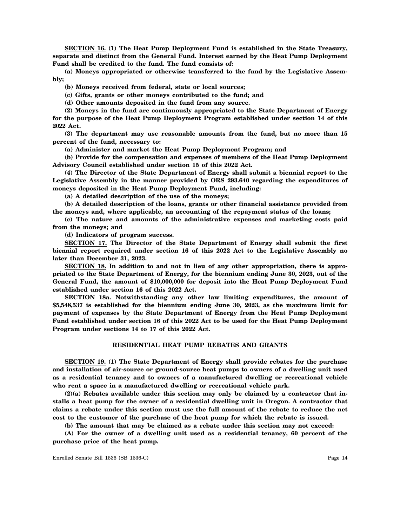**SECTION 16. (1) The Heat Pump Deployment Fund is established in the State Treasury, separate and distinct from the General Fund. Interest earned by the Heat Pump Deployment Fund shall be credited to the fund. The fund consists of:**

**(a) Moneys appropriated or otherwise transferred to the fund by the Legislative Assembly;**

**(b) Moneys received from federal, state or local sources;**

**(c) Gifts, grants or other moneys contributed to the fund; and**

**(d) Other amounts deposited in the fund from any source.**

**(2) Moneys in the fund are continuously appropriated to the State Department of Energy for the purpose of the Heat Pump Deployment Program established under section 14 of this 2022 Act.**

**(3) The department may use reasonable amounts from the fund, but no more than 15 percent of the fund, necessary to:**

**(a) Administer and market the Heat Pump Deployment Program; and**

**(b) Provide for the compensation and expenses of members of the Heat Pump Deployment Advisory Council established under section 15 of this 2022 Act.**

**(4) The Director of the State Department of Energy shall submit a biennial report to the Legislative Assembly in the manner provided by ORS 293.640 regarding the expenditures of moneys deposited in the Heat Pump Deployment Fund, including:**

**(a) A detailed description of the use of the moneys;**

**(b) A detailed description of the loans, grants or other financial assistance provided from the moneys and, where applicable, an accounting of the repayment status of the loans;**

**(c) The nature and amounts of the administrative expenses and marketing costs paid from the moneys; and**

**(d) Indicators of program success.**

**SECTION 17. The Director of the State Department of Energy shall submit the first biennial report required under section 16 of this 2022 Act to the Legislative Assembly no later than December 31, 2023.**

**SECTION 18. In addition to and not in lieu of any other appropriation, there is appropriated to the State Department of Energy, for the biennium ending June 30, 2023, out of the General Fund, the amount of \$10,000,000 for deposit into the Heat Pump Deployment Fund established under section 16 of this 2022 Act.**

**SECTION 18a. Notwithstanding any other law limiting expenditures, the amount of \$5,548,537 is established for the biennium ending June 30, 2023, as the maximum limit for payment of expenses by the State Department of Energy from the Heat Pump Deployment Fund established under section 16 of this 2022 Act to be used for the Heat Pump Deployment Program under sections 14 to 17 of this 2022 Act.**

# **RESIDENTIAL HEAT PUMP REBATES AND GRANTS**

**SECTION 19. (1) The State Department of Energy shall provide rebates for the purchase and installation of air-source or ground-source heat pumps to owners of a dwelling unit used as a residential tenancy and to owners of a manufactured dwelling or recreational vehicle who rent a space in a manufactured dwelling or recreational vehicle park.**

**(2)(a) Rebates available under this section may only be claimed by a contractor that installs a heat pump for the owner of a residential dwelling unit in Oregon. A contractor that claims a rebate under this section must use the full amount of the rebate to reduce the net cost to the customer of the purchase of the heat pump for which the rebate is issued.**

**(b) The amount that may be claimed as a rebate under this section may not exceed:**

**(A) For the owner of a dwelling unit used as a residential tenancy, 60 percent of the purchase price of the heat pump.**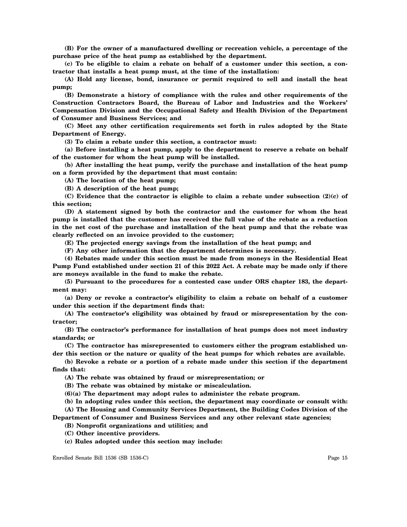**(B) For the owner of a manufactured dwelling or recreation vehicle, a percentage of the purchase price of the heat pump as established by the department.**

**(c) To be eligible to claim a rebate on behalf of a customer under this section, a contractor that installs a heat pump must, at the time of the installation:**

**(A) Hold any license, bond, insurance or permit required to sell and install the heat pump;**

**(B) Demonstrate a history of compliance with the rules and other requirements of the Construction Contractors Board, the Bureau of Labor and Industries and the Workers' Compensation Division and the Occupational Safety and Health Division of the Department of Consumer and Business Services; and**

**(C) Meet any other certification requirements set forth in rules adopted by the State Department of Energy.**

**(3) To claim a rebate under this section, a contractor must:**

**(a) Before installing a heat pump, apply to the department to reserve a rebate on behalf of the customer for whom the heat pump will be installed.**

**(b) After installing the heat pump, verify the purchase and installation of the heat pump on a form provided by the department that must contain:**

**(A) The location of the heat pump;**

**(B) A description of the heat pump;**

**(C) Evidence that the contractor is eligible to claim a rebate under subsection (2)(c) of this section;**

**(D) A statement signed by both the contractor and the customer for whom the heat pump is installed that the customer has received the full value of the rebate as a reduction in the net cost of the purchase and installation of the heat pump and that the rebate was clearly reflected on an invoice provided to the customer;**

**(E) The projected energy savings from the installation of the heat pump; and**

**(F) Any other information that the department determines is necessary.**

**(4) Rebates made under this section must be made from moneys in the Residential Heat Pump Fund established under section 21 of this 2022 Act. A rebate may be made only if there are moneys available in the fund to make the rebate.**

**(5) Pursuant to the procedures for a contested case under ORS chapter 183, the department may:**

**(a) Deny or revoke a contractor's eligibility to claim a rebate on behalf of a customer under this section if the department finds that:**

**(A) The contractor's eligibility was obtained by fraud or misrepresentation by the contractor;**

**(B) The contractor's performance for installation of heat pumps does not meet industry standards; or**

**(C) The contractor has misrepresented to customers either the program established under this section or the nature or quality of the heat pumps for which rebates are available.**

**(b) Revoke a rebate or a portion of a rebate made under this section if the department finds that:**

**(A) The rebate was obtained by fraud or misrepresentation; or**

**(B) The rebate was obtained by mistake or miscalculation.**

**(6)(a) The department may adopt rules to administer the rebate program.**

**(b) In adopting rules under this section, the department may coordinate or consult with: (A) The Housing and Community Services Department, the Building Codes Division of the**

**Department of Consumer and Business Services and any other relevant state agencies;**

**(B) Nonprofit organizations and utilities; and**

**(C) Other incentive providers.**

**(c) Rules adopted under this section may include:**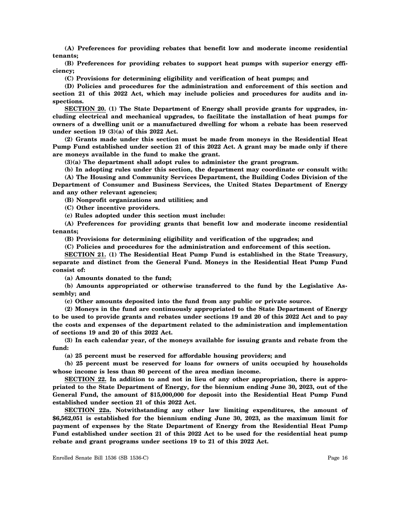**(A) Preferences for providing rebates that benefit low and moderate income residential tenants;**

**(B) Preferences for providing rebates to support heat pumps with superior energy efficiency;**

**(C) Provisions for determining eligibility and verification of heat pumps; and**

**(D) Policies and procedures for the administration and enforcement of this section and section 21 of this 2022 Act, which may include policies and procedures for audits and inspections.**

**SECTION 20. (1) The State Department of Energy shall provide grants for upgrades, including electrical and mechanical upgrades, to facilitate the installation of heat pumps for owners of a dwelling unit or a manufactured dwelling for whom a rebate has been reserved under section 19 (3)(a) of this 2022 Act.**

**(2) Grants made under this section must be made from moneys in the Residential Heat Pump Fund established under section 21 of this 2022 Act. A grant may be made only if there are moneys available in the fund to make the grant.**

**(3)(a) The department shall adopt rules to administer the grant program.**

**(b) In adopting rules under this section, the department may coordinate or consult with:**

**(A) The Housing and Community Services Department, the Building Codes Division of the Department of Consumer and Business Services, the United States Department of Energy and any other relevant agencies;**

**(B) Nonprofit organizations and utilities; and**

**(C) Other incentive providers.**

**(c) Rules adopted under this section must include:**

**(A) Preferences for providing grants that benefit low and moderate income residential tenants;**

**(B) Provisions for determining eligibility and verification of the upgrades; and**

**(C) Policies and procedures for the administration and enforcement of this section.**

**SECTION 21. (1) The Residential Heat Pump Fund is established in the State Treasury, separate and distinct from the General Fund. Moneys in the Residential Heat Pump Fund consist of:**

**(a) Amounts donated to the fund;**

**(b) Amounts appropriated or otherwise transferred to the fund by the Legislative Assembly; and**

**(c) Other amounts deposited into the fund from any public or private source.**

**(2) Moneys in the fund are continuously appropriated to the State Department of Energy to be used to provide grants and rebates under sections 19 and 20 of this 2022 Act and to pay the costs and expenses of the department related to the administration and implementation of sections 19 and 20 of this 2022 Act.**

**(3) In each calendar year, of the moneys available for issuing grants and rebate from the fund:**

**(a) 25 percent must be reserved for affordable housing providers; and**

**(b) 25 percent must be reserved for loans for owners of units occupied by households whose income is less than 80 percent of the area median income.**

**SECTION 22. In addition to and not in lieu of any other appropriation, there is appropriated to the State Department of Energy, for the biennium ending June 30, 2023, out of the General Fund, the amount of \$15,000,000 for deposit into the Residential Heat Pump Fund established under section 21 of this 2022 Act.**

**SECTION 22a. Notwithstanding any other law limiting expenditures, the amount of \$6,562,051 is established for the biennium ending June 30, 2023, as the maximum limit for payment of expenses by the State Department of Energy from the Residential Heat Pump Fund established under section 21 of this 2022 Act to be used for the residential heat pump rebate and grant programs under sections 19 to 21 of this 2022 Act.**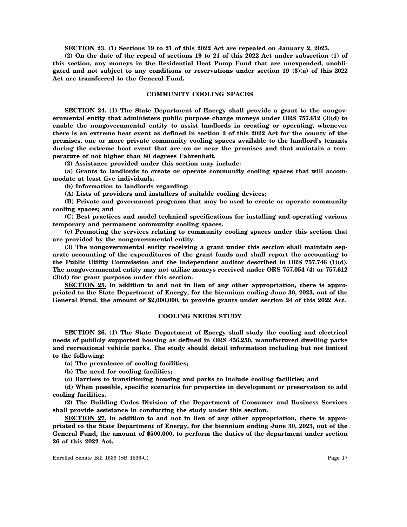**SECTION 23. (1) Sections 19 to 21 of this 2022 Act are repealed on January 2, 2025.**

**(2) On the date of the repeal of sections 19 to 21 of this 2022 Act under subsection (1) of this section, any moneys in the Residential Heat Pump Fund that are unexpended, unobligated and not subject to any conditions or reservations under section 19 (3)(a) of this 2022 Act are transferred to the General Fund.**

#### **COMMUNITY COOLING SPACES**

**SECTION 24. (1) The State Department of Energy shall provide a grant to the nongovernmental entity that administers public purpose charge moneys under ORS 757.612 (3)(d) to enable the nongovernmental entity to assist landlords in creating or operating, whenever there is an extreme heat event as defined in section 2 of this 2022 Act for the county of the premises, one or more private community cooling spaces available to the landlord's tenants during the extreme heat event that are on or near the premises and that maintain a temperature of not higher than 80 degrees Fahrenheit.**

**(2) Assistance provided under this section may include:**

**(a) Grants to landlords to create or operate community cooling spaces that will accommodate at least five individuals.**

**(b) Information to landlords regarding:**

**(A) Lists of providers and installers of suitable cooling devices;**

**(B) Private and government programs that may be used to create or operate community cooling spaces; and**

**(C) Best practices and model technical specifications for installing and operating various temporary and permanent community cooling spaces.**

**(c) Promoting the services relating to community cooling spaces under this section that are provided by the nongovernmental entity.**

**(3) The nongovernmental entity receiving a grant under this section shall maintain separate accounting of the expenditures of the grant funds and shall report the accounting to the Public Utility Commission and the independent auditor described in ORS 757.746 (1)(d). The nongovernmental entity may not utilize moneys received under ORS 757.054 (4) or 757.612 (3)(d) for grant purposes under this section.**

**SECTION 25. In addition to and not in lieu of any other appropriation, there is appropriated to the State Department of Energy, for the biennium ending June 30, 2023, out of the General Fund, the amount of \$2,000,000, to provide grants under section 24 of this 2022 Act.**

#### **COOLING NEEDS STUDY**

**SECTION 26. (1) The State Department of Energy shall study the cooling and electrical needs of publicly supported housing as defined in ORS 456.250, manufactured dwelling parks and recreational vehicle parks. The study should detail information including but not limited to the following:**

**(a) The prevalence of cooling facilities;**

**(b) The need for cooling facilities;**

**(c) Barriers to transitioning housing and parks to include cooling facilities; and**

**(d) When possible, specific scenarios for properties in development or preservation to add cooling facilities.**

**(2) The Building Codes Division of the Department of Consumer and Business Services shall provide assistance in conducting the study under this section.**

**SECTION 27. In addition to and not in lieu of any other appropriation, there is appropriated to the State Department of Energy, for the biennium ending June 30, 2023, out of the General Fund, the amount of \$500,000, to perform the duties of the department under section 26 of this 2022 Act.**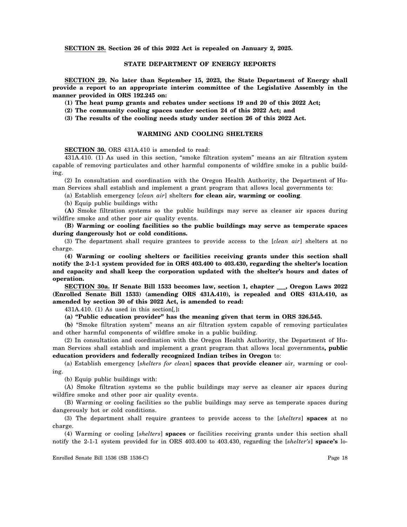**SECTION 28. Section 26 of this 2022 Act is repealed on January 2, 2025.**

# **STATE DEPARTMENT OF ENERGY REPORTS**

**SECTION 29. No later than September 15, 2023, the State Department of Energy shall provide a report to an appropriate interim committee of the Legislative Assembly in the manner provided in ORS 192.245 on:**

**(1) The heat pump grants and rebates under sections 19 and 20 of this 2022 Act;**

**(2) The community cooling spaces under section 24 of this 2022 Act; and**

**(3) The results of the cooling needs study under section 26 of this 2022 Act.**

## **WARMING AND COOLING SHELTERS**

**SECTION 30.** ORS 431A.410 is amended to read:

431A.410. (1) As used in this section, "smoke filtration system" means an air filtration system capable of removing particulates and other harmful components of wildfire smoke in a public building.

(2) In consultation and coordination with the Oregon Health Authority, the Department of Human Services shall establish and implement a grant program that allows local governments to:

(a) Establish emergency [*clean air*] shelters **for clean air, warming or cooling**.

(b) Equip public buildings with**:**

**(A)** Smoke filtration systems so the public buildings may serve as cleaner air spaces during wildfire smoke and other poor air quality events.

**(B) Warming or cooling facilities so the public buildings may serve as temperate spaces during dangerously hot or cold conditions.**

(3) The department shall require grantees to provide access to the [*clean air*] shelters at no charge.

**(4) Warming or cooling shelters or facilities receiving grants under this section shall notify the 2-1-1 system provided for in ORS 403.400 to 403.430, regarding the shelter's location and capacity and shall keep the corporation updated with the shelter's hours and dates of operation.**

**SECTION 30a. If Senate Bill 1533 becomes law, section 1, chapter \_\_\_, Oregon Laws 2022 (Enrolled Senate Bill 1533) (amending ORS 431A.410), is repealed and ORS 431A.410, as amended by section 30 of this 2022 Act, is amended to read:**

431A.410. (1) As used in this section[*,*]**:**

**(a) "Public education provider" has the meaning given that term in ORS 326.545.**

**(b)** "Smoke filtration system" means an air filtration system capable of removing particulates and other harmful components of wildfire smoke in a public building.

(2) In consultation and coordination with the Oregon Health Authority, the Department of Human Services shall establish and implement a grant program that allows local governments**, public education providers and federally recognized Indian tribes in Oregon** to:

(a) Establish emergency [*shelters for clean*] **spaces that provide cleaner** air, warming or cooling.

(b) Equip public buildings with:

(A) Smoke filtration systems so the public buildings may serve as cleaner air spaces during wildfire smoke and other poor air quality events.

(B) Warming or cooling facilities so the public buildings may serve as temperate spaces during dangerously hot or cold conditions.

(3) The department shall require grantees to provide access to the [*shelters*] **spaces** at no charge.

(4) Warming or cooling [*shelters*] **spaces** or facilities receiving grants under this section shall notify the 2-1-1 system provided for in ORS 403.400 to 403.430, regarding the [*shelter's*] **space's** lo-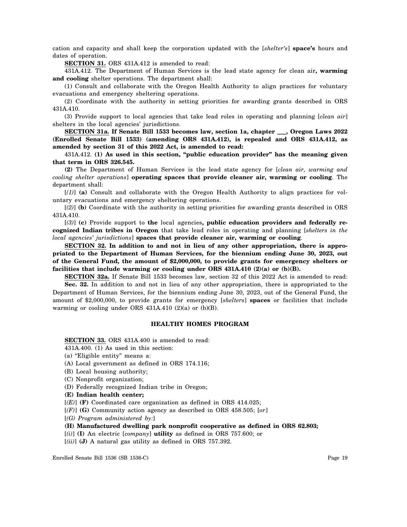cation and capacity and shall keep the corporation updated with the [*shelter's*] **space's** hours and dates of operation.

**SECTION 31.** ORS 431A.412 is amended to read:

431A.412. The Department of Human Services is the lead state agency for clean air**, warming and cooling** shelter operations. The department shall:

(1) Consult and collaborate with the Oregon Health Authority to align practices for voluntary evacuations and emergency sheltering operations.

(2) Coordinate with the authority in setting priorities for awarding grants described in ORS 431A.410.

(3) Provide support to local agencies that take lead roles in operating and planning [*clean air*] shelters in the local agencies' jurisdictions.

**SECTION 31a. If Senate Bill 1533 becomes law, section 1a, chapter \_\_\_, Oregon Laws 2022 (Enrolled Senate Bill 1533) (amending ORS 431A.412), is repealed and ORS 431A.412, as amended by section 31 of this 2022 Act, is amended to read:**

431A.412. **(1) As used in this section, "public education provider" has the meaning given that term in ORS 326.545.**

**(2)** The Department of Human Services is the lead state agency for [*clean air, warming and cooling shelter operations*] **operating spaces that provide cleaner air, warming or cooling**. The department shall:

[*(1)*] **(a)** Consult and collaborate with the Oregon Health Authority to align practices for voluntary evacuations and emergency sheltering operations.

[*(2)*] **(b)** Coordinate with the authority in setting priorities for awarding grants described in ORS 431A.410.

[*(3)*] **(c)** Provide support to **the** local agencies**, public education providers and federally recognized Indian tribes in Oregon** that take lead roles in operating and planning [*shelters in the local agencies' jurisdictions*] **spaces that provide cleaner air, warming or cooling**.

**SECTION 32. In addition to and not in lieu of any other appropriation, there is appropriated to the Department of Human Services, for the biennium ending June 30, 2023, out of the General Fund, the amount of \$2,000,000, to provide grants for emergency shelters or facilities that include warming or cooling under ORS 431A.410 (2)(a) or (b)(B).**

**SECTION 32a.** If Senate Bill 1533 becomes law, section 32 of this 2022 Act is amended to read:

**Sec. 32.** In addition to and not in lieu of any other appropriation, there is appropriated to the Department of Human Services, for the biennium ending June 30, 2023, out of the General Fund, the amount of \$2,000,000, to provide grants for emergency [*shelters*] **spaces** or facilities that include warming or cooling under ORS 431A.410 (2)(a) or (b)(B).

# **HEALTHY HOMES PROGRAM**

**SECTION 33.** ORS 431A.400 is amended to read:

431A.400. (1) As used in this section:

(a) "Eligible entity" means a:

- (A) Local government as defined in ORS 174.116;
- (B) Local housing authority;
- (C) Nonprofit organization;
- (D) Federally recognized Indian tribe in Oregon;
- **(E) Indian health center;**

[*(E)*] **(F)** Coordinated care organization as defined in ORS 414.025;

[*(F)*] **(G)** Community action agency as described in ORS 458.505; [*or*]

[*(G) Program administered by:*]

- **(H) Manufactured dwelling park nonprofit cooperative as defined in ORS 62.803;**
- [*(i)*] **(I)** An electric [*company*] **utility** as defined in ORS 757.600; or
- [*(ii)*] **(J)** A natural gas utility as defined in ORS 757.392.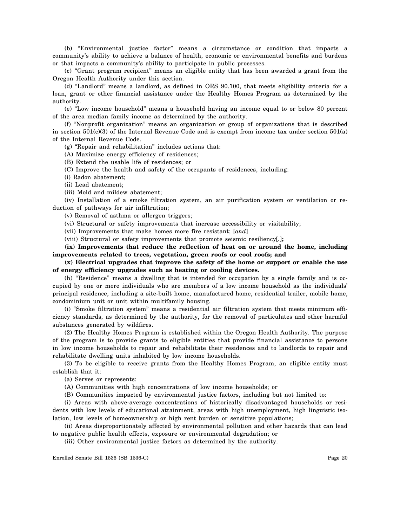(b) "Environmental justice factor" means a circumstance or condition that impacts a community's ability to achieve a balance of health, economic or environmental benefits and burdens or that impacts a community's ability to participate in public processes.

(c) "Grant program recipient" means an eligible entity that has been awarded a grant from the Oregon Health Authority under this section.

(d) "Landlord" means a landlord, as defined in ORS 90.100, that meets eligibility criteria for a loan, grant or other financial assistance under the Healthy Homes Program as determined by the authority.

(e) "Low income household" means a household having an income equal to or below 80 percent of the area median family income as determined by the authority.

(f) "Nonprofit organization" means an organization or group of organizations that is described in section 501(c)(3) of the Internal Revenue Code and is exempt from income tax under section 501(a) of the Internal Revenue Code.

(g) "Repair and rehabilitation" includes actions that:

(A) Maximize energy efficiency of residences;

(B) Extend the usable life of residences; or

(C) Improve the health and safety of the occupants of residences, including:

(i) Radon abatement;

(ii) Lead abatement;

(iii) Mold and mildew abatement;

(iv) Installation of a smoke filtration system, an air purification system or ventilation or reduction of pathways for air infiltration;

(v) Removal of asthma or allergen triggers;

(vi) Structural or safety improvements that increase accessibility or visitability;

(vii) Improvements that make homes more fire resistant; [*and*]

(viii) Structural or safety improvements that promote seismic resiliency[*.*]**;**

**(ix) Improvements that reduce the reflection of heat on or around the home, including improvements related to trees, vegetation, green roofs or cool roofs; and**

**(x) Electrical upgrades that improve the safety of the home or support or enable the use of energy efficiency upgrades such as heating or cooling devices.**

(h) "Residence" means a dwelling that is intended for occupation by a single family and is occupied by one or more individuals who are members of a low income household as the individuals' principal residence, including a site-built home, manufactured home, residential trailer, mobile home, condominium unit or unit within multifamily housing.

(i) "Smoke filtration system" means a residential air filtration system that meets minimum efficiency standards, as determined by the authority, for the removal of particulates and other harmful substances generated by wildfires.

(2) The Healthy Homes Program is established within the Oregon Health Authority. The purpose of the program is to provide grants to eligible entities that provide financial assistance to persons in low income households to repair and rehabilitate their residences and to landlords to repair and rehabilitate dwelling units inhabited by low income households.

(3) To be eligible to receive grants from the Healthy Homes Program, an eligible entity must establish that it:

(a) Serves or represents:

(A) Communities with high concentrations of low income households; or

(B) Communities impacted by environmental justice factors, including but not limited to:

(i) Areas with above-average concentrations of historically disadvantaged households or residents with low levels of educational attainment, areas with high unemployment, high linguistic isolation, low levels of homeownership or high rent burden or sensitive populations;

(ii) Areas disproportionately affected by environmental pollution and other hazards that can lead to negative public health effects, exposure or environmental degradation; or

(iii) Other environmental justice factors as determined by the authority.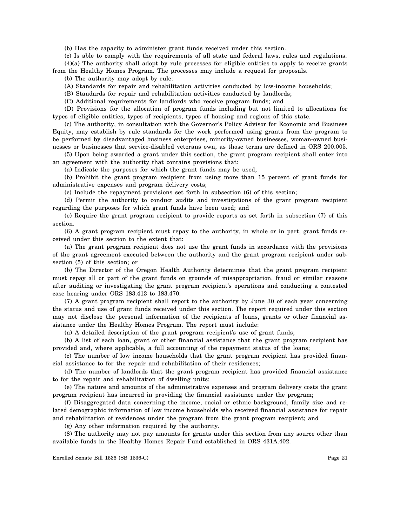(b) Has the capacity to administer grant funds received under this section.

(c) Is able to comply with the requirements of all state and federal laws, rules and regulations.

(4)(a) The authority shall adopt by rule processes for eligible entities to apply to receive grants from the Healthy Homes Program. The processes may include a request for proposals.

(b) The authority may adopt by rule:

(A) Standards for repair and rehabilitation activities conducted by low-income households;

(B) Standards for repair and rehabilitation activities conducted by landlords;

(C) Additional requirements for landlords who receive program funds; and

(D) Provisions for the allocation of program funds including but not limited to allocations for types of eligible entities, types of recipients, types of housing and regions of this state.

(c) The authority, in consultation with the Governor's Policy Advisor for Economic and Business Equity, may establish by rule standards for the work performed using grants from the program to be performed by disadvantaged business enterprises, minority-owned businesses, woman-owned businesses or businesses that service-disabled veterans own, as those terms are defined in ORS 200.005.

(5) Upon being awarded a grant under this section, the grant program recipient shall enter into an agreement with the authority that contains provisions that:

(a) Indicate the purposes for which the grant funds may be used;

(b) Prohibit the grant program recipient from using more than 15 percent of grant funds for administrative expenses and program delivery costs;

(c) Include the repayment provisions set forth in subsection (6) of this section;

(d) Permit the authority to conduct audits and investigations of the grant program recipient regarding the purposes for which grant funds have been used; and

(e) Require the grant program recipient to provide reports as set forth in subsection (7) of this section.

(6) A grant program recipient must repay to the authority, in whole or in part, grant funds received under this section to the extent that:

(a) The grant program recipient does not use the grant funds in accordance with the provisions of the grant agreement executed between the authority and the grant program recipient under subsection (5) of this section; or

(b) The Director of the Oregon Health Authority determines that the grant program recipient must repay all or part of the grant funds on grounds of misappropriation, fraud or similar reasons after auditing or investigating the grant program recipient's operations and conducting a contested case hearing under ORS 183.413 to 183.470.

(7) A grant program recipient shall report to the authority by June 30 of each year concerning the status and use of grant funds received under this section. The report required under this section may not disclose the personal information of the recipients of loans, grants or other financial assistance under the Healthy Homes Program. The report must include:

(a) A detailed description of the grant program recipient's use of grant funds;

(b) A list of each loan, grant or other financial assistance that the grant program recipient has provided and, where applicable, a full accounting of the repayment status of the loans;

(c) The number of low income households that the grant program recipient has provided financial assistance to for the repair and rehabilitation of their residences;

(d) The number of landlords that the grant program recipient has provided financial assistance to for the repair and rehabilitation of dwelling units;

(e) The nature and amounts of the administrative expenses and program delivery costs the grant program recipient has incurred in providing the financial assistance under the program;

(f) Disaggregated data concerning the income, racial or ethnic background, family size and related demographic information of low income households who received financial assistance for repair and rehabilitation of residences under the program from the grant program recipient; and

(g) Any other information required by the authority.

(8) The authority may not pay amounts for grants under this section from any source other than available funds in the Healthy Homes Repair Fund established in ORS 431A.402.